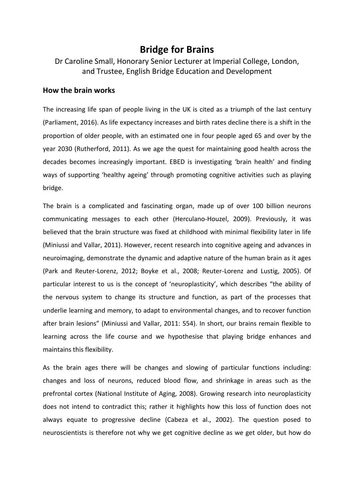## **Bridge for Brains**

Dr Caroline Small, Honorary Senior Lecturer at Imperial College, London, and Trustee, English Bridge Education and Development

## **How the brain works**

The increasing life span of people living in the UK is cited as a triumph of the last century (Parliament, 2016). As life expectancy increases and birth rates decline there is a shift in the proportion of older people, with an estimated one in four people aged 65 and over by the year 2030 (Rutherford, 2011). As we age the quest for maintaining good health across the decades becomes increasingly important. EBED is investigating 'brain health' and finding ways of supporting 'healthy ageing' through promoting cognitive activities such as playing bridge.

The brain is a complicated and fascinating organ, made up of over 100 billion neurons communicating messages to each other (Herculano-Houzel, 2009). Previously, it was believed that the brain structure was fixed at childhood with minimal flexibility later in life (Miniussi and Vallar, 2011). However, recent research into cognitive ageing and advances in neuroimaging, demonstrate the dynamic and adaptive nature of the human brain as it ages (Park and Reuter-Lorenz, 2012; Boyke et al., 2008; Reuter-Lorenz and Lustig, 2005). Of particular interest to us is the concept of 'neuroplasticity', which describes "the ability of the nervous system to change its structure and function, as part of the processes that underlie learning and memory, to adapt to environmental changes, and to recover function after brain lesions" (Miniussi and Vallar, 2011: 554). In short, our brains remain flexible to learning across the life course and we hypothesise that playing bridge enhances and maintains this flexibility.

As the brain ages there will be changes and slowing of particular functions including: changes and loss of neurons, reduced blood flow, and shrinkage in areas such as the prefrontal cortex (National Institute of Aging, 2008). Growing research into neuroplasticity does not intend to contradict this; rather it highlights how this loss of function does not always equate to progressive decline (Cabeza et al., 2002). The question posed to neuroscientists is therefore not why we get cognitive decline as we get older, but how do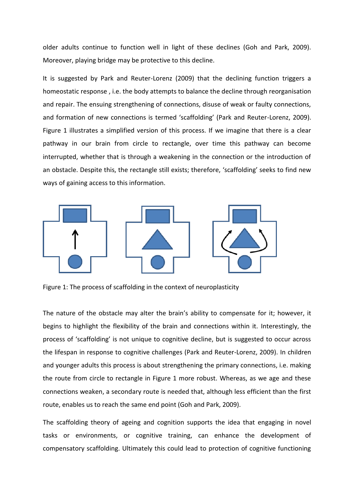older adults continue to function well in light of these declines (Goh and Park, 2009). Moreover, playing bridge may be protective to this decline.

It is suggested by Park and Reuter-Lorenz (2009) that the declining function triggers a homeostatic response , i.e. the body attempts to balance the decline through reorganisation and repair. The ensuing strengthening of connections, disuse of weak or faulty connections, and formation of new connections is termed 'scaffolding' (Park and Reuter-Lorenz, 2009). Figure 1 illustrates a simplified version of this process. If we imagine that there is a clear pathway in our brain from circle to rectangle, over time this pathway can become interrupted, whether that is through a weakening in the connection or the introduction of an obstacle. Despite this, the rectangle still exists; therefore, 'scaffolding' seeks to find new ways of gaining access to this information.



Figure 1: The process of scaffolding in the context of neuroplasticity

The nature of the obstacle may alter the brain's ability to compensate for it; however, it begins to highlight the flexibility of the brain and connections within it. Interestingly, the process of 'scaffolding' is not unique to cognitive decline, but is suggested to occur across the lifespan in response to cognitive challenges (Park and Reuter-Lorenz, 2009). In children and younger adults this process is about strengthening the primary connections, i.e. making the route from circle to rectangle in Figure 1 more robust. Whereas, as we age and these connections weaken, a secondary route is needed that, although less efficient than the first route, enables us to reach the same end point (Goh and Park, 2009).

The scaffolding theory of ageing and cognition supports the idea that engaging in novel tasks or environments, or cognitive training, can enhance the development of compensatory scaffolding. Ultimately this could lead to protection of cognitive functioning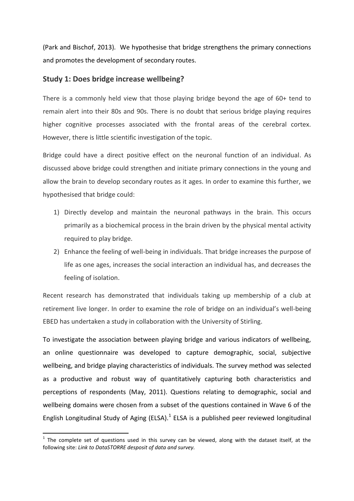(Park and Bischof, 2013). We hypothesise that bridge strengthens the primary connections and promotes the development of secondary routes.

## **Study 1: Does bridge increase wellbeing?**

There is a commonly held view that those playing bridge beyond the age of 60+ tend to remain alert into their 80s and 90s. There is no doubt that serious bridge playing requires higher cognitive processes associated with the frontal areas of the cerebral cortex. However, there is little scientific investigation of the topic.

Bridge could have a direct positive effect on the neuronal function of an individual. As discussed above bridge could strengthen and initiate primary connections in the young and allow the brain to develop secondary routes as it ages. In order to examine this further, we hypothesised that bridge could:

- 1) Directly develop and maintain the neuronal pathways in the brain. This occurs primarily as a biochemical process in the brain driven by the physical mental activity required to play bridge.
- 2) Enhance the feeling of well-being in individuals. That bridge increases the purpose of life as one ages, increases the social interaction an individual has, and decreases the feeling of isolation.

Recent research has demonstrated that individuals taking up membership of a club at retirement live longer. In order to examine the role of bridge on an individual's well-being EBED has undertaken a study in collaboration with the University of Stirling.

To investigate the association between playing bridge and various indicators of wellbeing, an online questionnaire was developed to capture demographic, social, subjective wellbeing, and bridge playing characteristics of individuals. The survey method was selected as a productive and robust way of quantitatively capturing both characteristics and perceptions of respondents (May, 2011). Questions relating to demographic, social and wellbeing domains were chosen from a subset of the questions contained in Wave 6 of the English Longitudinal Study of Aging (ELSA). $^1$  ELSA is a published peer reviewed longitudinal

 $\overline{\phantom{a}}$ 

 $1$  The complete set of questions used in this survey can be viewed, along with the dataset itself, at the following site: *Link to DataSTORRE desposit of data and survey.*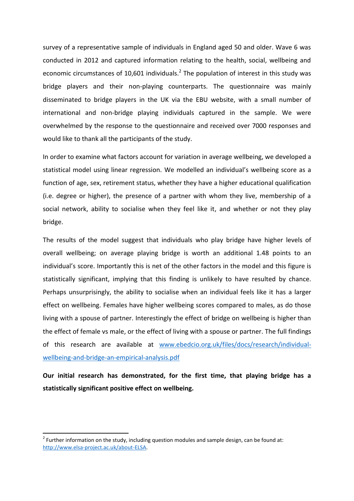survey of a representative sample of individuals in England aged 50 and older. Wave 6 was conducted in 2012 and captured information relating to the health, social, wellbeing and economic circumstances of 10,601 individuals.<sup>2</sup> The population of interest in this study was bridge players and their non-playing counterparts. The questionnaire was mainly disseminated to bridge players in the UK via the EBU website, with a small number of international and non-bridge playing individuals captured in the sample. We were overwhelmed by the response to the questionnaire and received over 7000 responses and would like to thank all the participants of the study.

In order to examine what factors account for variation in average wellbeing, we developed a statistical model using linear regression. We modelled an individual's wellbeing score as a function of age, sex, retirement status, whether they have a higher educational qualification (i.e. degree or higher), the presence of a partner with whom they live, membership of a social network, ability to socialise when they feel like it, and whether or not they play bridge.

The results of the model suggest that individuals who play bridge have higher levels of overall wellbeing; on average playing bridge is worth an additional 1.48 points to an individual's score. Importantly this is net of the other factors in the model and this figure is statistically significant, implying that this finding is unlikely to have resulted by chance. Perhaps unsurprisingly, the ability to socialise when an individual feels like it has a larger effect on wellbeing. Females have higher wellbeing scores compared to males, as do those living with a spouse of partner. Interestingly the effect of bridge on wellbeing is higher than the effect of female vs male, or the effect of living with a spouse or partner. The full findings of this research are available at [www.ebedcio.org.uk/files/docs/research/individual](http://www.ebedcio.org.uk/files/docs/research/individual-wellbeing-and-bridge-an-empirical-analysis.pdf)[wellbeing-and-bridge-an-empirical-analysis.pdf](http://www.ebedcio.org.uk/files/docs/research/individual-wellbeing-and-bridge-an-empirical-analysis.pdf)

**Our initial research has demonstrated, for the first time, that playing bridge has a statistically significant positive effect on wellbeing.** 

 $\overline{\phantom{a}}$ 

 $2^{2}$  Further information on the study, including question modules and sample design, can be found at: [http://www.elsa-project.ac.uk/about-ELSA.](http://www.elsa-project.ac.uk/about-ELSA)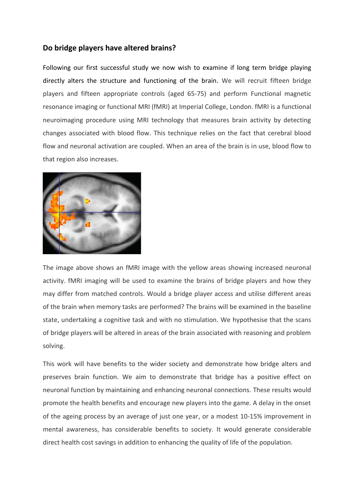## **Do bridge players have altered brains?**

Following our first successful study we now wish to examine if long term bridge playing directly alters the structure and functioning of the brain. We will recruit fifteen bridge players and fifteen appropriate controls (aged 65-75) and perform Functional magnetic resonance imaging or functional MRI (fMRI) at Imperial College, London. fMRI is a functional neuroimaging procedure using MRI technology that measures brain activity by detecting changes associated with blood flow. This technique relies on the fact that cerebral blood flow and neuronal activation are coupled. When an area of the brain is in use, blood flow to that region also increases.



The image above shows an fMRI image with the yellow areas showing increased neuronal activity. fMRI imaging will be used to examine the brains of bridge players and how they may differ from matched controls. Would a bridge player access and utilise different areas of the brain when memory tasks are performed? The brains will be examined in the baseline state, undertaking a cognitive task and with no stimulation. We hypothesise that the scans of bridge players will be altered in areas of the brain associated with reasoning and problem solving.

This work will have benefits to the wider society and demonstrate how bridge alters and preserves brain function. We aim to demonstrate that bridge has a positive effect on neuronal function by maintaining and enhancing neuronal connections. These results would promote the health benefits and encourage new players into the game. A delay in the onset of the ageing process by an average of just one year, or a modest 10-15% improvement in mental awareness, has considerable benefits to society. It would generate considerable direct health cost savings in addition to enhancing the quality of life of the population.